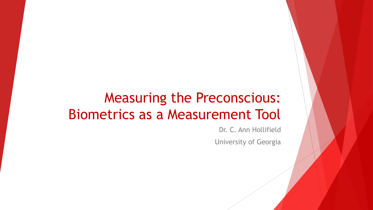### Measuring the Preconscious: Biometrics as a Measurement Tool

Dr. C. Ann Hollifield University of Georgia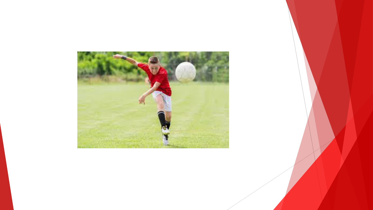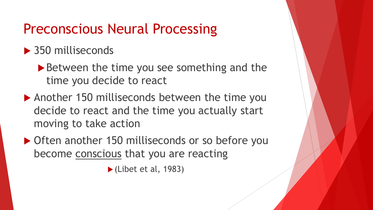## Preconscious Neural Processing

#### ▶ 350 milliseconds

- Between the time you see something and the time you decide to react
- ▶ Another 150 milliseconds between the time you decide to react and the time you actually start moving to take action
- ▶ Often another 150 milliseconds or so before you become conscious that you are reacting

 $\blacktriangleright$  (Libet et al, 1983)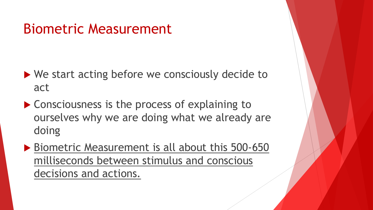#### Biometric Measurement

- ▶ We start acting before we consciously decide to act
- ▶ Consciousness is the process of explaining to ourselves why we are doing what we already are doing
- ▶ Biometric Measurement is all about this 500-650 milliseconds between stimulus and conscious decisions and actions.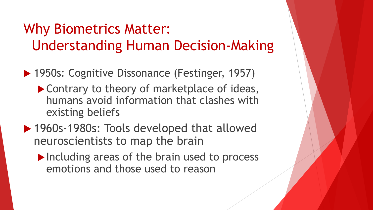## Why Biometrics Matter: Understanding Human Decision-Making

▶ 1950s: Cognitive Dissonance (Festinger, 1957)

- ▶ Contrary to theory of marketplace of ideas, humans avoid information that clashes with existing beliefs
- ▶ 1960s-1980s: Tools developed that allowed neuroscientists to map the brain
	- Including areas of the brain used to process emotions and those used to reason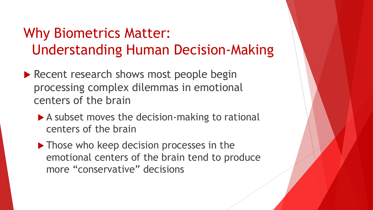## Why Biometrics Matter: Understanding Human Decision-Making

- Recent research shows most people begin processing complex dilemmas in emotional centers of the brain
	- A subset moves the decision-making to rational centers of the brain
	- **Those who keep decision processes in the** emotional centers of the brain tend to produce more "conservative" decisions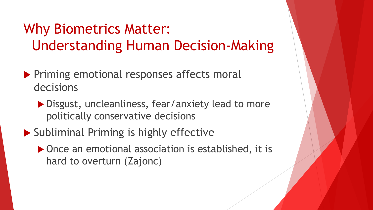## Why Biometrics Matter: Understanding Human Decision-Making

- **Priming emotional responses affects moral** decisions
	- ▶ Disgust, uncleanliness, fear/anxiety lead to more politically conservative decisions
- ▶ Subliminal Priming is highly effective
	- ▶ Once an emotional association is established, it is hard to overturn (Zajonc)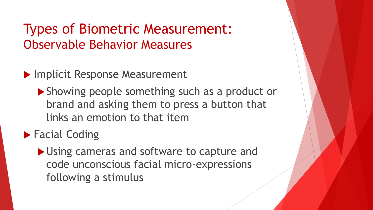#### Types of Biometric Measurement: Observable Behavior Measures

**Implicit Response Measurement** 

▶ Showing people something such as a product or brand and asking them to press a button that links an emotion to that item

▶ Facial Coding

Using cameras and software to capture and code unconscious facial micro-expressions following a stimulus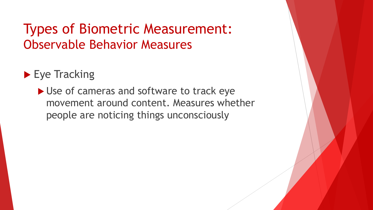#### Types of Biometric Measurement: Observable Behavior Measures

Eye Tracking

Use of cameras and software to track eye movement around content. Measures whether people are noticing things unconsciously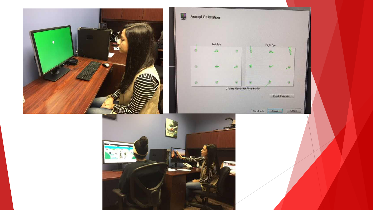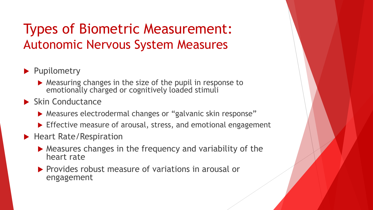### Types of Biometric Measurement: Autonomic Nervous System Measures

- **Pupilometry** 
	- **Measuring changes in the size of the pupil in response to** emotionally charged or cognitively loaded stimuli
- $\blacktriangleright$  Skin Conductance
	- Measures electrodermal changes or "galvanic skin response"
	- ▶ Effective measure of arousal, stress, and emotional engagement
- ▶ Heart Rate/Respiration
	- Measures changes in the frequency and variability of the heart rate
	- $\blacktriangleright$  Provides robust measure of variations in arousal or engagement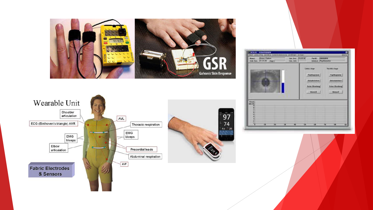



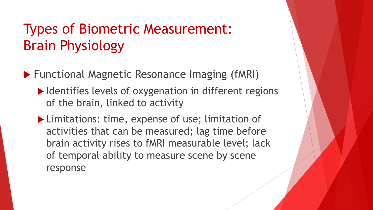## Types of Biometric Measurement: Brain Physiology

▶ Functional Magnetic Resonance Imaging (fMRI)

- $\blacktriangleright$  Identifies levels of oxygenation in different regions of the brain, linked to activity
- ▶ Limitations: time, expense of use; limitation of activities that can be measured; lag time before brain activity rises to fMRI measurable level; lack of temporal ability to measure scene by scene response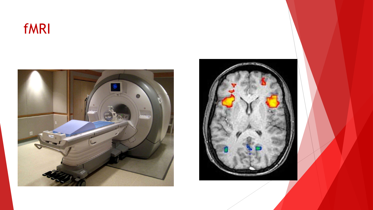## fMRI



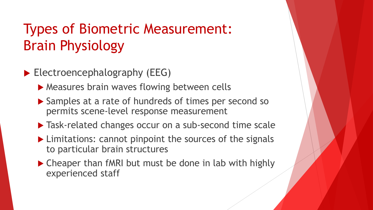## Types of Biometric Measurement: Brain Physiology

- Electroencephalography (EEG)
	- ▶ Measures brain waves flowing between cells
	- ▶ Samples at a rate of hundreds of times per second so permits scene-level response measurement
	- $\blacktriangleright$  Task-related changes occur on a sub-second time scale
	- ▶ Limitations: cannot pinpoint the sources of the signals to particular brain structures
	- ▶ Cheaper than fMRI but must be done in lab with highly experienced staff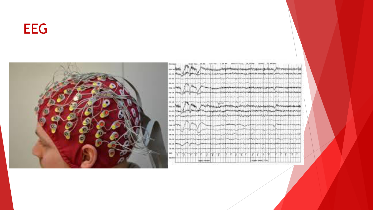## EEG



Milling **Michigan Address**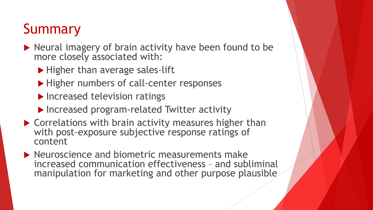## Summary

- Neural imagery of brain activity have been found to be more closely associated with:
	- $\blacktriangleright$  Higher than average sales-lift
	- ▶ Higher numbers of call-center responses
	- **Increased television ratings**
	- ▶ Increased program-related Twitter activity
- ▶ Correlations with brain activity measures higher than with post-exposure subjective response ratings of content
- $\blacktriangleright$  Neuroscience and biometric measurements make increased communication effectiveness – and subliminal manipulation for marketing and other purpose plausible